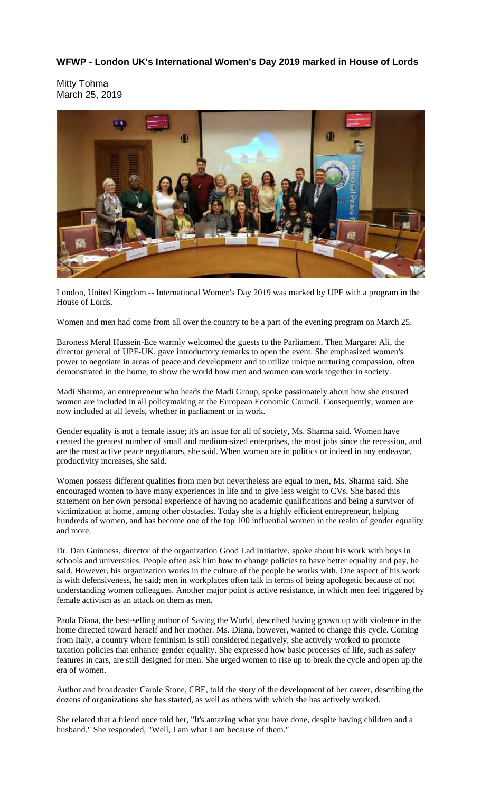## **WFWP - London UK's International Women's Day 2019 marked in House of Lords**

Mitty Tohma March 25, 2019



London, United Kingdom -- International Women's Day 2019 was marked by UPF with a program in the House of Lords.

Women and men had come from all over the country to be a part of the evening program on March 25.

Baroness Meral Hussein-Ece warmly welcomed the guests to the Parliament. Then Margaret Ali, the director general of UPF-UK, gave introductory remarks to open the event. She emphasized women's power to negotiate in areas of peace and development and to utilize unique nurturing compassion, often demonstrated in the home, to show the world how men and women can work together in society.

Madi Sharma, an entrepreneur who heads the Madi Group, spoke passionately about how she ensured women are included in all policymaking at the European Economic Council. Consequently, women are now included at all levels, whether in parliament or in work.

Gender equality is not a female issue; it's an issue for all of society, Ms. Sharma said. Women have created the greatest number of small and medium-sized enterprises, the most jobs since the recession, and are the most active peace negotiators, she said. When women are in politics or indeed in any endeavor, productivity increases, she said.

Women possess different qualities from men but nevertheless are equal to men, Ms. Sharma said. She encouraged women to have many experiences in life and to give less weight to CVs. She based this statement on her own personal experience of having no academic qualifications and being a survivor of victimization at home, among other obstacles. Today she is a highly efficient entrepreneur, helping hundreds of women, and has become one of the top 100 influential women in the realm of gender equality and more.

Dr. Dan Guinness, director of the organization Good Lad Initiative, spoke about his work with boys in schools and universities. People often ask him how to change policies to have better equality and pay, he said. However, his organization works in the culture of the people he works with. One aspect of his work is with defensiveness, he said; men in workplaces often talk in terms of being apologetic because of not understanding women colleagues. Another major point is active resistance, in which men feel triggered by female activism as an attack on them as men.

Paola Diana, the best-selling author of Saving the World, described having grown up with violence in the home directed toward herself and her mother. Ms. Diana, however, wanted to change this cycle. Coming from Italy, a country where feminism is still considered negatively, she actively worked to promote taxation policies that enhance gender equality. She expressed how basic processes of life, such as safety features in cars, are still designed for men. She urged women to rise up to break the cycle and open up the era of women.

Author and broadcaster Carole Stone, CBE, told the story of the development of her career, describing the dozens of organizations she has started, as well as others with which she has actively worked.

She related that a friend once told her, "It's amazing what you have done, despite having children and a husband." She responded, "Well, I am what I am because of them."